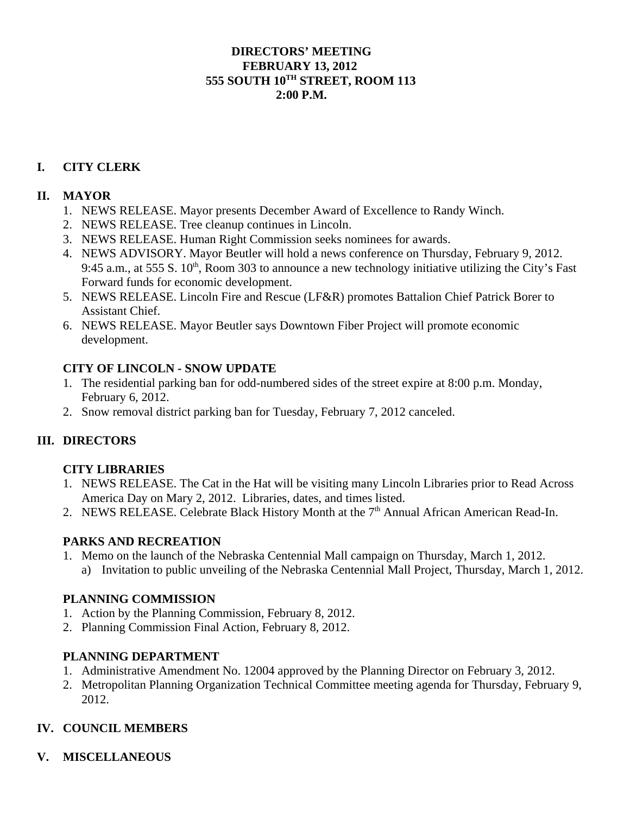## **DIRECTORS' MEETING FEBRUARY 13, 2012 555 SOUTH 10TH STREET, ROOM 113 2:00 P.M.**

# **I. CITY CLERK**

### **II. MAYOR**

- 1. NEWS RELEASE. Mayor presents December Award of Excellence to Randy Winch.
- 2. NEWS RELEASE. Tree cleanup continues in Lincoln.
- 3. NEWS RELEASE. Human Right Commission seeks nominees for awards.
- 4. NEWS ADVISORY. Mayor Beutler will hold a news conference on Thursday, February 9, 2012. 9:45 a.m., at 555 S.  $10^{th}$ , Room 303 to announce a new technology initiative utilizing the City's Fast Forward funds for economic development.
- 5. NEWS RELEASE. Lincoln Fire and Rescue (LF&R) promotes Battalion Chief Patrick Borer to Assistant Chief.
- 6. NEWS RELEASE. Mayor Beutler says Downtown Fiber Project will promote economic development.

### **CITY OF LINCOLN - SNOW UPDATE**

- 1. The residential parking ban for odd-numbered sides of the street expire at 8:00 p.m. Monday, February 6, 2012.
- 2. Snow removal district parking ban for Tuesday, February 7, 2012 canceled.

## **III. DIRECTORS**

## **CITY LIBRARIES**

- 1. NEWS RELEASE. The Cat in the Hat will be visiting many Lincoln Libraries prior to Read Across America Day on Mary 2, 2012. Libraries, dates, and times listed.
- 2. NEWS RELEASE. Celebrate Black History Month at the 7<sup>th</sup> Annual African American Read-In.

#### **PARKS AND RECREATION**

1. Memo on the launch of the Nebraska Centennial Mall campaign on Thursday, March 1, 2012. a) Invitation to public unveiling of the Nebraska Centennial Mall Project, Thursday, March 1, 2012.

#### **PLANNING COMMISSION**

- 1. Action by the Planning Commission, February 8, 2012.
- 2. Planning Commission Final Action, February 8, 2012.

## **PLANNING DEPARTMENT**

- 1. Administrative Amendment No. 12004 approved by the Planning Director on February 3, 2012.
- 2. Metropolitan Planning Organization Technical Committee meeting agenda for Thursday, February 9, 2012.

## **IV. COUNCIL MEMBERS**

#### **V. MISCELLANEOUS**